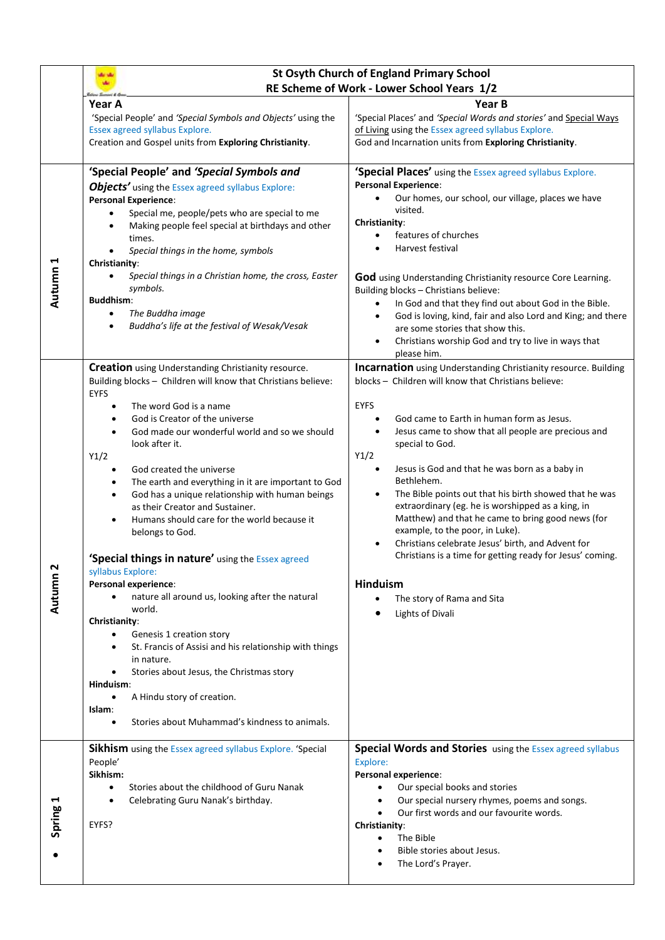|          | <b>St Osyth Church of England Primary School</b><br>RE Scheme of Work - Lower School Years 1/2                                                                                                                                                                                                                                                                                                                                                                                                                                                                                                                                                                                                                                                                                                                                                                                                                                                                                                                                                                |                                                                                                                                                                                                                                                                                                                                                                                                                                                                                                                                                                                                                                                                                                                                                                           |
|----------|---------------------------------------------------------------------------------------------------------------------------------------------------------------------------------------------------------------------------------------------------------------------------------------------------------------------------------------------------------------------------------------------------------------------------------------------------------------------------------------------------------------------------------------------------------------------------------------------------------------------------------------------------------------------------------------------------------------------------------------------------------------------------------------------------------------------------------------------------------------------------------------------------------------------------------------------------------------------------------------------------------------------------------------------------------------|---------------------------------------------------------------------------------------------------------------------------------------------------------------------------------------------------------------------------------------------------------------------------------------------------------------------------------------------------------------------------------------------------------------------------------------------------------------------------------------------------------------------------------------------------------------------------------------------------------------------------------------------------------------------------------------------------------------------------------------------------------------------------|
|          | Year A<br>'Special People' and 'Special Symbols and Objects' using the<br>Essex agreed syllabus Explore.<br>Creation and Gospel units from Exploring Christianity.                                                                                                                                                                                                                                                                                                                                                                                                                                                                                                                                                                                                                                                                                                                                                                                                                                                                                            | Year B<br>'Special Places' and 'Special Words and stories' and Special Ways<br>of Living using the Essex agreed syllabus Explore.<br>God and Incarnation units from Exploring Christianity.                                                                                                                                                                                                                                                                                                                                                                                                                                                                                                                                                                               |
| Autumn 1 | 'Special People' and 'Special Symbols and<br><b>Objects'</b> using the Essex agreed syllabus Explore:<br><b>Personal Experience:</b><br>Special me, people/pets who are special to me<br>Making people feel special at birthdays and other<br>times.<br>Special things in the home, symbols<br>Christianity:<br>Special things in a Christian home, the cross, Easter<br>$\bullet$<br>symbols.<br><b>Buddhism:</b><br>The Buddha image<br>$\bullet$<br>Buddha's life at the festival of Wesak/Vesak                                                                                                                                                                                                                                                                                                                                                                                                                                                                                                                                                           | 'Special Places' using the Essex agreed syllabus Explore.<br><b>Personal Experience:</b><br>Our homes, our school, our village, places we have<br>visited.<br>Christianity:<br>features of churches<br>$\bullet$<br>Harvest festival<br>$\bullet$<br>God using Understanding Christianity resource Core Learning.<br>Building blocks - Christians believe:<br>In God and that they find out about God in the Bible.<br>$\bullet$<br>God is loving, kind, fair and also Lord and King; and there<br>$\bullet$<br>are some stories that show this.<br>Christians worship God and try to live in ways that<br>$\bullet$<br>please him.                                                                                                                                       |
| Autumn 2 | <b>Creation</b> using Understanding Christianity resource.<br>Building blocks - Children will know that Christians believe:<br><b>EYFS</b><br>The word God is a name<br>God is Creator of the universe<br>God made our wonderful world and so we should<br>look after it.<br>Y1/2<br>God created the universe<br>$\bullet$<br>The earth and everything in it are important to God<br>$\bullet$<br>God has a unique relationship with human beings<br>$\bullet$<br>as their Creator and Sustainer.<br>Humans should care for the world because it<br>belongs to God.<br>'Special things in nature' using the Essex agreed<br>syllabus Explore:<br>Personal experience:<br>nature all around us, looking after the natural<br>$\bullet$<br>world.<br>Christianity:<br>Genesis 1 creation story<br>$\bullet$<br>St. Francis of Assisi and his relationship with things<br>in nature.<br>Stories about Jesus, the Christmas story<br>Hinduism:<br>A Hindu story of creation.<br>$\bullet$<br>Islam:<br>Stories about Muhammad's kindness to animals.<br>$\bullet$ | <b>Incarnation</b> using Understanding Christianity resource. Building<br>blocks - Children will know that Christians believe:<br><b>EYFS</b><br>God came to Earth in human form as Jesus.<br>Jesus came to show that all people are precious and<br>special to God.<br>Y1/2<br>Jesus is God and that he was born as a baby in<br>$\bullet$<br>Bethlehem.<br>The Bible points out that his birth showed that he was<br>٠<br>extraordinary (eg. he is worshipped as a king, in<br>Matthew) and that he came to bring good news (for<br>example, to the poor, in Luke).<br>Christians celebrate Jesus' birth, and Advent for<br>$\bullet$<br>Christians is a time for getting ready for Jesus' coming.<br><b>Hinduism</b><br>The story of Rama and Sita<br>Lights of Divali |
| Spring 1 | <b>Sikhism</b> using the Essex agreed syllabus Explore. 'Special<br>People'<br>Sikhism:<br>Stories about the childhood of Guru Nanak<br>Celebrating Guru Nanak's birthday.<br>EYFS?                                                                                                                                                                                                                                                                                                                                                                                                                                                                                                                                                                                                                                                                                                                                                                                                                                                                           | <b>Special Words and Stories</b> using the Essex agreed syllabus<br>Explore:<br>Personal experience:<br>Our special books and stories<br>Our special nursery rhymes, poems and songs.<br>Our first words and our favourite words.<br>Christianity:<br>The Bible<br>$\bullet$<br>Bible stories about Jesus.<br>The Lord's Prayer.                                                                                                                                                                                                                                                                                                                                                                                                                                          |